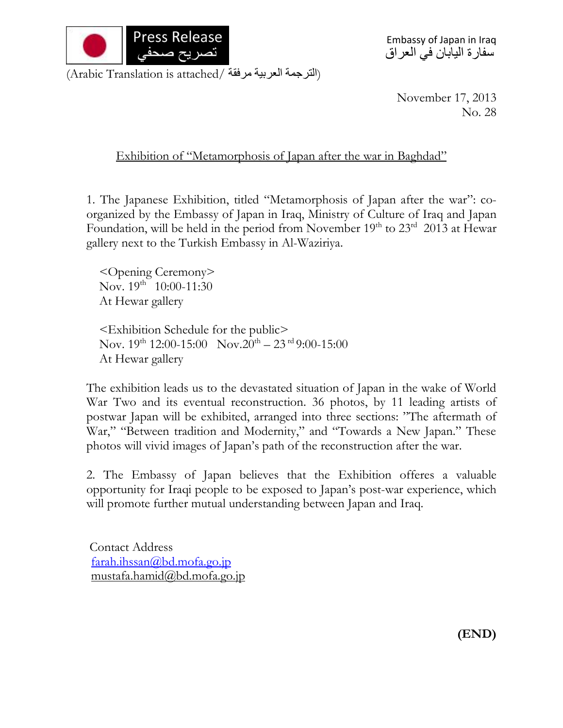

Embassy of Japan in Iraq سفارة اليابان في العراق

(الترجمة العربية مرفقة /Arabic Translation is attached)

November 17, 2013 No. 28

Exhibition of "Metamorphosis of Japan after the war in Baghdad"

1. The Japanese Exhibition, titled "Metamorphosis of Japan after the war": coorganized by the Embassy of Japan in Iraq, Ministry of Culture of Iraq and Japan Foundation, will be held in the period from November 19<sup>th</sup> to 23<sup>rd</sup> 2013 at Hewar gallery next to the Turkish Embassy in Al-Waziriya.

<Opening Ceremony> Nov.  $19^{th}$  10:00-11:30 At Hewar gallery

<Exhibition Schedule for the public> Nov.  $19^{\text{th}}$  12:00-15:00 Nov.  $20^{\text{th}} - 23^{\text{rd}}$  9:00-15:00 At Hewar gallery

The exhibition leads us to the devastated situation of Japan in the wake of World War Two and its eventual reconstruction. 36 photos, by 11 leading artists of postwar Japan will be exhibited, arranged into three sections: "The aftermath of War," "Between tradition and Modernity," and "Towards a New Japan." These photos will vivid images of Japan's path of the reconstruction after the war.

2. The Embassy of Japan believes that the Exhibition offeres a valuable opportunity for Iraqi people to be exposed to Japan's post-war experience, which will promote further mutual understanding between Japan and Iraq.

Contact Address [farah.ihssan@bd.mofa.go.jp](mailto:farah.ihssan@bd.mofa.go.jp) mustafa.hamid@bd.mofa.go.jp

**(END)**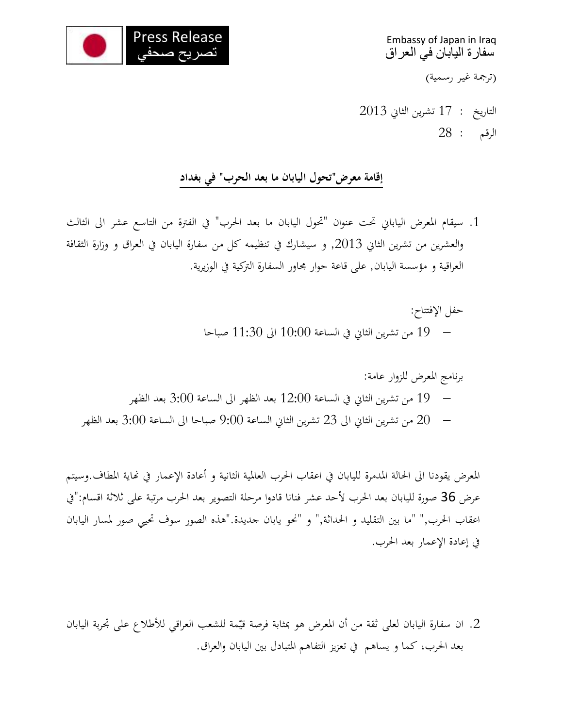

Embassy of Japan in Iraq سفارة اليابان في العراق (ترجمة غير رسمية)

التاريخ : 17 تشرين الثاين 3112 الرقم : 32

## **إقامة معرض"تحول اليابان ما بعد الحرب" في بغداد**

- .1 سيقام املعرض الياباين حتت عنوان "حتول اليابان ما بعد احلرب" يف الفرتة من التاسع عشر اىل الثالث والعشرين من تشرين الثاين ,3112 و سيشارك يف تنظيمه كل من سفارة اليابان يف العراق و وزارة الثقافة العراقية و مؤسسة اليابان, على قاعة حوار جماور السفارة الرتكية يف الوزيرية.
	- حفل الإفتتاح: 11 من تشرين الثاين يف الساعة 11:11 اىل 11:21 صباحا
	- برنامج املعرض للزوار عامة: 19 من تشرين الثاين يف الساعة 13:11 بعد الظهر اىل الساعة 2:11 بعد الظهر من تشرين الثاني الى 23 تشرين الثاني الساعة 9:00 صباحا الى الساعة 3:00 بعد الظهر  $\sim 20$

املعرض يقودنا اىل احلالة املدمرة لليابان يف اعقاب احلرب العاملية الثانية و أعادة اإلعمار يف هناية املطاف.وسيتم عرض 36 صورة لليابان بعد الحرب لأحد عشر فنانا قادوا مرحلة التصوير بعد الحرب مرتبة على ثلاثة اقسام:"في اعقاب احلرب," "ما بني التقليد و احلداثة," و "حنو يابان جديدة."هذه الصور سوف حتيي صور ملسار اليابان يف إعادة اإلعمار بعد احلرب.

2. ان سفارة اليابان لعلى ثقة من أن المعرض هو بمثابة فرصة قيّمة للشعب العراقي للأطلاع على تجربة اليابان بعد احلرب، كما و يساهم يف تعزيز التفاهم املتبادل بني اليابان و العراق.